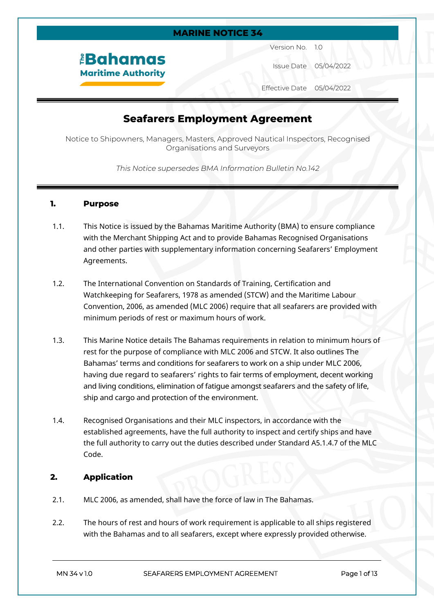#### **MARINE NOTICE 34**

# *<u><b>EBahamas</u>* **Maritime Authority**

Version No. 1.0

Issue Date 05/04/2022

Effective Date 05/04/2022

# **Seafarers Employment Agreement**

Notice to Shipowners, Managers, Masters, Approved Nautical Inspectors, Recognised Organisations and Surveyors

*This Notice supersedes BMA Information Bulletin No.142*

#### **1. Purpose**

- 1.1. This Notice is issued by the Bahamas Maritime Authority (BMA) to ensure compliance with the Merchant Shipping Act and to provide Bahamas Recognised Organisations and other parties with supplementary information concerning Seafarers' Employment Agreements.
- 1.2. The International Convention on Standards of Training, Certification and Watchkeeping for Seafarers, 1978 as amended (STCW) and the Maritime Labour Convention, 2006, as amended (MLC 2006) require that all seafarers are provided with minimum periods of rest or maximum hours of work.
- 1.3. This Marine Notice details The Bahamas requirements in relation to minimum hours of rest for the purpose of compliance with MLC 2006 and STCW. It also outlines The Bahamas' terms and conditions for seafarers to work on a ship under MLC 2006, having due regard to seafarers' rights to fair terms of employment, decent working and living conditions, elimination of fatigue amongst seafarers and the safety of life, ship and cargo and protection of the environment.
- 1.4. Recognised Organisations and their MLC inspectors, in accordance with the established agreements, have the full authority to inspect and certify ships and have the full authority to carry out the duties described under Standard A5.1.4.7 of the MLC Code.

#### **2. Application**

- 2.1. MLC 2006, as amended, shall have the force of law in The Bahamas.
- 2.2. The hours of rest and hours of work requirement is applicable to all ships registered with the Bahamas and to all seafarers, except where expressly provided otherwise.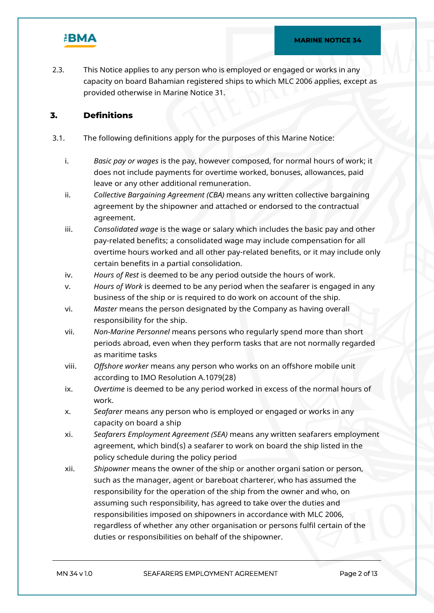

2.3. This Notice applies to any person who is employed or engaged or works in any capacity on board Bahamian registered ships to which MLC 2006 applies, except as provided otherwise in Marine Notice 31.

## **3. Definitions**

- 3.1. The following definitions apply for the purposes of this Marine Notice:
	- i. *Basic pay or wages* is the pay, however composed, for normal hours of work; it does not include payments for overtime worked, bonuses, allowances, paid leave or any other additional remuneration.
	- ii. *Collective Bargaining Agreement (CBA)* means any written collective bargaining agreement by the shipowner and attached or endorsed to the contractual agreement.
	- iii. *Consolidated wage* is the wage or salary which includes the basic pay and other pay-related benefits; a consolidated wage may include compensation for all overtime hours worked and all other pay-related benefits, or it may include only certain benefits in a partial consolidation.
	- iv. *Hours of Rest* is deemed to be any period outside the hours of work.
	- v. *Hours of Work* is deemed to be any period when the seafarer is engaged in any business of the ship or is required to do work on account of the ship.
	- vi. *Master* means the person designated by the Company as having overall responsibility for the ship.
	- vii. *Non-Marine Personnel* means persons who regularly spend more than short periods abroad, even when they perform tasks that are not normally regarded as maritime tasks
	- viii. *Offshore worker* means any person who works on an offshore mobile unit according to IMO Resolution A.1079(28)
	- ix. *Overtime* is deemed to be any period worked in excess of the normal hours of work.
	- x. *Seafarer* means any person who is employed or engaged or works in any capacity on board a ship
	- xi. *Seafarers Employment Agreement (SEA)* means any written seafarers employment agreement, which bind(s) a seafarer to work on board the ship listed in the policy schedule during the policy period
	- xii. *Shipowner* means the owner of the ship or another organi sation or person, such as the manager, agent or bareboat charterer, who has assumed the responsibility for the operation of the ship from the owner and who, on assuming such responsibility, has agreed to take over the duties and responsibilities imposed on shipowners in accordance with MLC 2006, regardless of whether any other organisation or persons fulfil certain of the duties or responsibilities on behalf of the shipowner.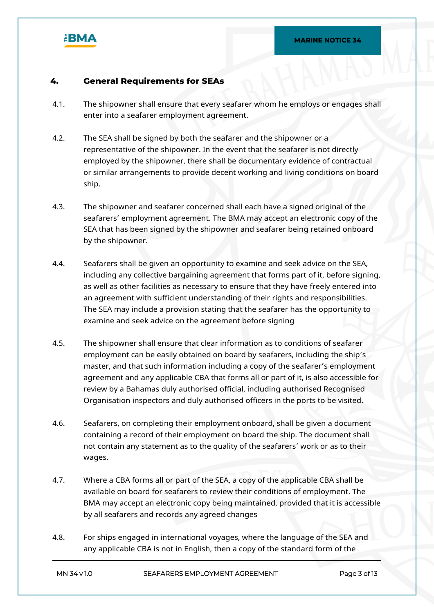

#### **4. General Requirements for SEAs**

- 4.1. The shipowner shall ensure that every seafarer whom he employs or engages shall enter into a seafarer employment agreement.
- 4.2. The SEA shall be signed by both the seafarer and the shipowner or a representative of the shipowner. In the event that the seafarer is not directly employed by the shipowner, there shall be documentary evidence of contractual or similar arrangements to provide decent working and living conditions on board ship.
- 4.3. The shipowner and seafarer concerned shall each have a signed original of the seafarers' employment agreement. The BMA may accept an electronic copy of the SEA that has been signed by the shipowner and seafarer being retained onboard by the shipowner.
- 4.4. Seafarers shall be given an opportunity to examine and seek advice on the SEA, including any collective bargaining agreement that forms part of it, before signing, as well as other facilities as necessary to ensure that they have freely entered into an agreement with sufficient understanding of their rights and responsibilities. The SEA may include a provision stating that the seafarer has the opportunity to examine and seek advice on the agreement before signing
- 4.5. The shipowner shall ensure that clear information as to conditions of seafarer employment can be easily obtained on board by seafarers, including the ship's master, and that such information including a copy of the seafarer's employment agreement and any applicable CBA that forms all or part of it, is also accessible for review by a Bahamas duly authorised official, including authorised Recognised Organisation inspectors and duly authorised officers in the ports to be visited.
- 4.6. Seafarers, on completing their employment onboard, shall be given a document containing a record of their employment on board the ship. The document shall not contain any statement as to the quality of the seafarers' work or as to their wages.
- 4.7. Where a CBA forms all or part of the SEA, a copy of the applicable CBA shall be available on board for seafarers to review their conditions of employment. The BMA may accept an electronic copy being maintained, provided that it is accessible by all seafarers and records any agreed changes
- 4.8. For ships engaged in international voyages, where the language of the SEA and any applicable CBA is not in English, then a copy of the standard form of the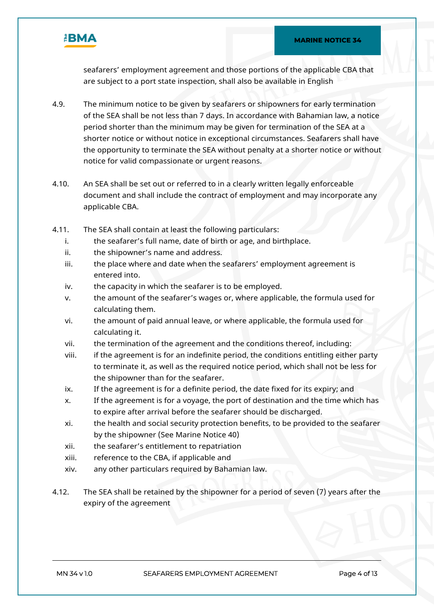

seafarers' employment agreement and those portions of the applicable CBA that are subject to a port state inspection, shall also be available in English

- 4.9. The minimum notice to be given by seafarers or shipowners for early termination of the SEA shall be not less than 7 days. In accordance with Bahamian law, a notice period shorter than the minimum may be given for termination of the SEA at a shorter notice or without notice in exceptional circumstances. Seafarers shall have the opportunity to terminate the SEA without penalty at a shorter notice or without notice for valid compassionate or urgent reasons.
- 4.10. An SEA shall be set out or referred to in a clearly written legally enforceable document and shall include the contract of employment and may incorporate any applicable CBA.
- 4.11. The SEA shall contain at least the following particulars:
	- i. the seafarer's full name, date of birth or age, and birthplace.
	- ii. the shipowner's name and address.
	- iii. the place where and date when the seafarers' employment agreement is entered into.
	- iv. the capacity in which the seafarer is to be employed.
	- v. the amount of the seafarer's wages or, where applicable, the formula used for calculating them.
	- vi. the amount of paid annual leave, or where applicable, the formula used for calculating it.
	- vii. the termination of the agreement and the conditions thereof, including:
	- viii. if the agreement is for an indefinite period, the conditions entitling either party to terminate it, as well as the required notice period, which shall not be less for the shipowner than for the seafarer.
	- ix. If the agreement is for a definite period, the date fixed for its expiry; and
	- x. If the agreement is for a voyage, the port of destination and the time which has to expire after arrival before the seafarer should be discharged.
	- xi. the health and social security protection benefits, to be provided to the seafarer by the shipowner (See Marine Notice 40)
	- xii. the seafarer's entitlement to repatriation
	- xiii. reference to the CBA, if applicable and
	- xiv. any other particulars required by Bahamian law.
- 4.12. The SEA shall be retained by the shipowner for a period of seven (7) years after the expiry of the agreement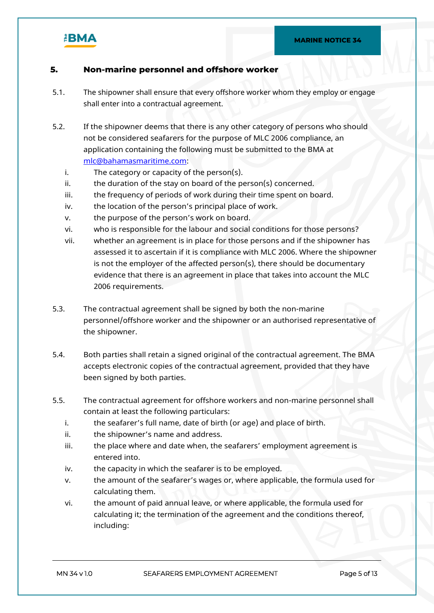

### **5. Non-marine personnel and offshore worker**

- 5.1. The shipowner shall ensure that every offshore worker whom they employ or engage shall enter into a contractual agreement.
- 5.2. If the shipowner deems that there is any other category of persons who should not be considered seafarers for the purpose of MLC 2006 compliance, an application containing the following must be submitted to the BMA at [mlc@bahamasmaritime.com](mailto:mlc@bahamasmaritime.com):
	- i. The category or capacity of the person(s).
	- $ii.$  the duration of the stay on board of the person(s) concerned.
	- iii. the frequency of periods of work during their time spent on board.
	- iv. the location of the person's principal place of work.
	- v. the purpose of the person's work on board.
	- vi. who is responsible for the labour and social conditions for those persons?
	- vii. whether an agreement is in place for those persons and if the shipowner has assessed it to ascertain if it is compliance with MLC 2006. Where the shipowner is not the employer of the affected person(s), there should be documentary evidence that there is an agreement in place that takes into account the MLC 2006 requirements.
- 5.3. The contractual agreement shall be signed by both the non-marine personnel/offshore worker and the shipowner or an authorised representative of the shipowner.
- 5.4. Both parties shall retain a signed original of the contractual agreement. The BMA accepts electronic copies of the contractual agreement, provided that they have been signed by both parties.
- 5.5. The contractual agreement for offshore workers and non-marine personnel shall contain at least the following particulars:
	- i. the seafarer's full name, date of birth (or age) and place of birth.
	- ii. the shipowner's name and address.
	- iii. the place where and date when, the seafarers' employment agreement is entered into.
	- iv. the capacity in which the seafarer is to be employed.
	- v. the amount of the seafarer's wages or, where applicable, the formula used for calculating them.
	- vi. the amount of paid annual leave, or where applicable, the formula used for calculating it; the termination of the agreement and the conditions thereof, including: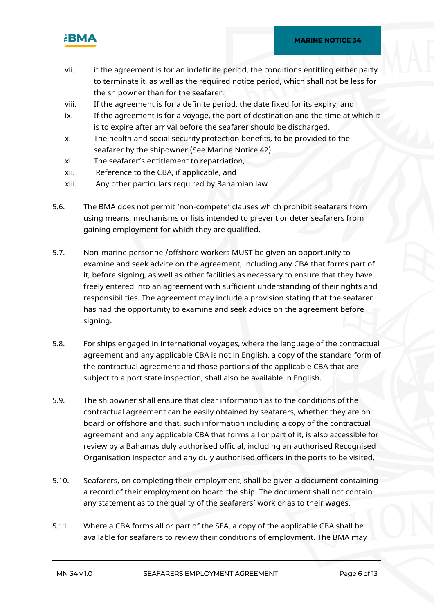

- vii. if the agreement is for an indefinite period, the conditions entitling either party to terminate it, as well as the required notice period, which shall not be less for the shipowner than for the seafarer.
- viii. If the agreement is for a definite period, the date fixed for its expiry; and
- ix. If the agreement is for a voyage, the port of destination and the time at which it is to expire after arrival before the seafarer should be discharged.
- x. The health and social security protection benefits, to be provided to the seafarer by the shipowner (See Marine Notice 42)
- xi. The seafarer's entitlement to repatriation,
- xii. Reference to the CBA, if applicable, and
- xiii. Any other particulars required by Bahamian law
- 5.6. The BMA does not permit 'non-compete' clauses which prohibit seafarers from using means, mechanisms or lists intended to prevent or deter seafarers from gaining employment for which they are qualified.
- 5.7. Non-marine personnel/offshore workers MUST be given an opportunity to examine and seek advice on the agreement, including any CBA that forms part of it, before signing, as well as other facilities as necessary to ensure that they have freely entered into an agreement with sufficient understanding of their rights and responsibilities. The agreement may include a provision stating that the seafarer has had the opportunity to examine and seek advice on the agreement before signing.
- 5.8. For ships engaged in international voyages, where the language of the contractual agreement and any applicable CBA is not in English, a copy of the standard form of the contractual agreement and those portions of the applicable CBA that are subject to a port state inspection, shall also be available in English.
- 5.9. The shipowner shall ensure that clear information as to the conditions of the contractual agreement can be easily obtained by seafarers, whether they are on board or offshore and that, such information including a copy of the contractual agreement and any applicable CBA that forms all or part of it, is also accessible for review by a Bahamas duly authorised official, including an authorised Recognised Organisation inspector and any duly authorised officers in the ports to be visited.
- 5.10. Seafarers, on completing their employment, shall be given a document containing a record of their employment on board the ship. The document shall not contain any statement as to the quality of the seafarers' work or as to their wages.
- 5.11. Where a CBA forms all or part of the SEA, a copy of the applicable CBA shall be available for seafarers to review their conditions of employment. The BMA may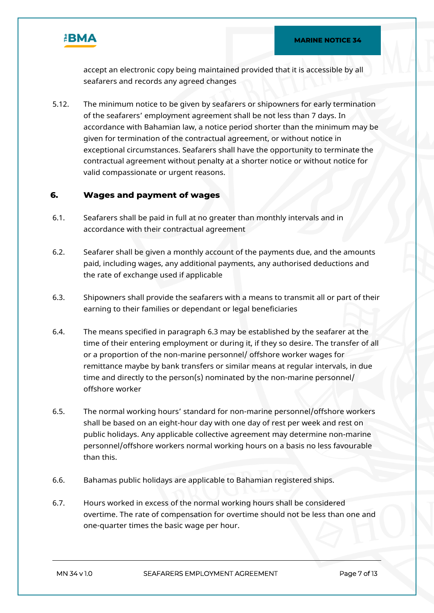

accept an electronic copy being maintained provided that it is accessible by all seafarers and records any agreed changes

5.12. The minimum notice to be given by seafarers or shipowners for early termination of the seafarers' employment agreement shall be not less than 7 days. In accordance with Bahamian law, a notice period shorter than the minimum may be given for termination of the contractual agreement, or without notice in exceptional circumstances. Seafarers shall have the opportunity to terminate the contractual agreement without penalty at a shorter notice or without notice for valid compassionate or urgent reasons.

#### **6. Wages and payment of wages**

- 6.1. Seafarers shall be paid in full at no greater than monthly intervals and in accordance with their contractual agreement
- 6.2. Seafarer shall be given a monthly account of the payments due, and the amounts paid, including wages, any additional payments, any authorised deductions and the rate of exchange used if applicable
- 6.3. Shipowners shall provide the seafarers with a means to transmit all or part of their earning to their families or dependant or legal beneficiaries
- 6.4. The means specified in paragraph 6.3 may be established by the seafarer at the time of their entering employment or during it, if they so desire. The transfer of all or a proportion of the non-marine personnel/ offshore worker wages for remittance maybe by bank transfers or similar means at regular intervals, in due time and directly to the person(s) nominated by the non-marine personnel/ offshore worker
- 6.5. The normal working hours' standard for non-marine personnel/offshore workers shall be based on an eight-hour day with one day of rest per week and rest on public holidays. Any applicable collective agreement may determine non-marine personnel/offshore workers normal working hours on a basis no less favourable than this.
- 6.6. Bahamas public holidays are applicable to Bahamian registered ships.
- 6.7. Hours worked in excess of the normal working hours shall be considered overtime. The rate of compensation for overtime should not be less than one and one-quarter times the basic wage per hour.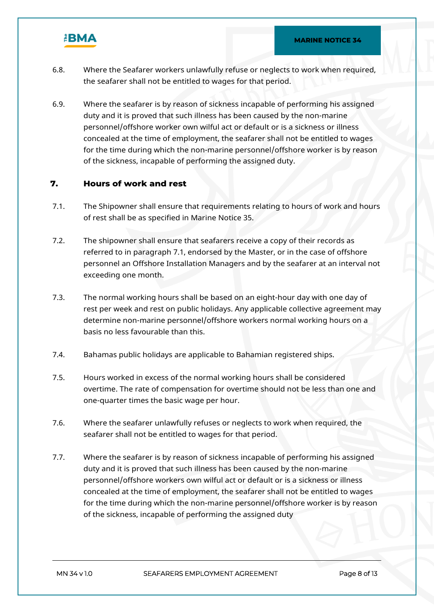

- 6.8. Where the Seafarer workers unlawfully refuse or neglects to work when required, the seafarer shall not be entitled to wages for that period.
- 6.9. Where the seafarer is by reason of sickness incapable of performing his assigned duty and it is proved that such illness has been caused by the non-marine personnel/offshore worker own wilful act or default or is a sickness or illness concealed at the time of employment, the seafarer shall not be entitled to wages for the time during which the non-marine personnel/offshore worker is by reason of the sickness, incapable of performing the assigned duty.

### **7. Hours of work and rest**

- 7.1. The Shipowner shall ensure that requirements relating to hours of work and hours of rest shall be as specified in Marine Notice 35.
- 7.2. The shipowner shall ensure that seafarers receive a copy of their records as referred to in paragraph 7.1, endorsed by the Master, or in the case of offshore personnel an Offshore Installation Managers and by the seafarer at an interval not exceeding one month.
- 7.3. The normal working hours shall be based on an eight-hour day with one day of rest per week and rest on public holidays. Any applicable collective agreement may determine non-marine personnel/offshore workers normal working hours on a basis no less favourable than this.
- 7.4. Bahamas public holidays are applicable to Bahamian registered ships.
- 7.5. Hours worked in excess of the normal working hours shall be considered overtime. The rate of compensation for overtime should not be less than one and one-quarter times the basic wage per hour.
- 7.6. Where the seafarer unlawfully refuses or neglects to work when required, the seafarer shall not be entitled to wages for that period.
- 7.7. Where the seafarer is by reason of sickness incapable of performing his assigned duty and it is proved that such illness has been caused by the non-marine personnel/offshore workers own wilful act or default or is a sickness or illness concealed at the time of employment, the seafarer shall not be entitled to wages for the time during which the non-marine personnel/offshore worker is by reason of the sickness, incapable of performing the assigned duty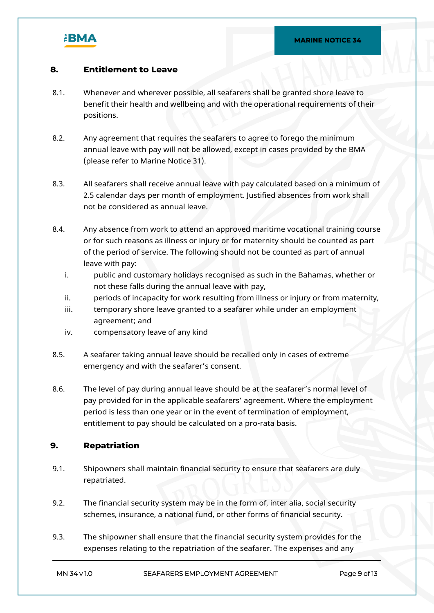

### **8. Entitlement to Leave**

- 8.1. Whenever and wherever possible, all seafarers shall be granted shore leave to benefit their health and wellbeing and with the operational requirements of their positions.
- 8.2. Any agreement that requires the seafarers to agree to forego the minimum annual leave with pay will not be allowed, except in cases provided by the BMA (please refer to Marine Notice 31).
- 8.3. All seafarers shall receive annual leave with pay calculated based on a minimum of 2.5 calendar days per month of employment. Justified absences from work shall not be considered as annual leave.
- 8.4. Any absence from work to attend an approved maritime vocational training course or for such reasons as illness or injury or for maternity should be counted as part of the period of service. The following should not be counted as part of annual leave with pay:
	- i. public and customary holidays recognised as such in the Bahamas, whether or not these falls during the annual leave with pay,
	- ii. periods of incapacity for work resulting from illness or injury or from maternity,
	- iii. temporary shore leave granted to a seafarer while under an employment agreement; and
	- iv. compensatory leave of any kind
- 8.5. A seafarer taking annual leave should be recalled only in cases of extreme emergency and with the seafarer's consent.
- 8.6. The level of pay during annual leave should be at the seafarer's normal level of pay provided for in the applicable seafarers' agreement. Where the employment period is less than one year or in the event of termination of employment, entitlement to pay should be calculated on a pro-rata basis.

#### **9. Repatriation**

- 9.1. Shipowners shall maintain financial security to ensure that seafarers are duly repatriated.
- 9.2. The financial security system may be in the form of, inter alia, social security schemes, insurance, a national fund, or other forms of financial security.
- 9.3. The shipowner shall ensure that the financial security system provides for the expenses relating to the repatriation of the seafarer. The expenses and any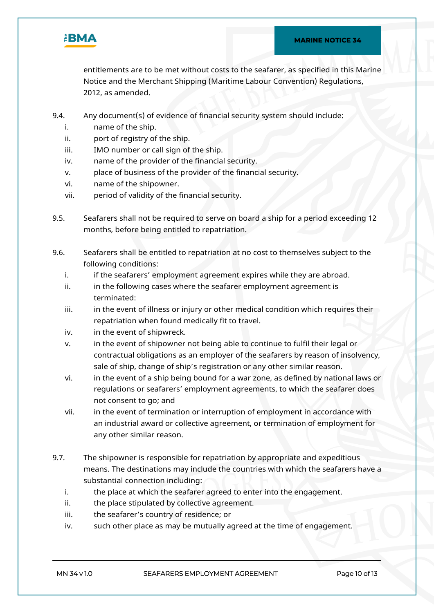

entitlements are to be met without costs to the seafarer, as specified in this Marine Notice and the Merchant Shipping (Maritime Labour Convention) Regulations, 2012, as amended.

- 9.4. Any document(s) of evidence of financial security system should include:
	- i. name of the ship.
	- ii. port of registry of the ship.
	- iii. IMO number or call sign of the ship.
	- iv. name of the provider of the financial security.
	- v. place of business of the provider of the financial security.
	- vi. name of the shipowner.
	- vii. period of validity of the financial security.
- 9.5. Seafarers shall not be required to serve on board a ship for a period exceeding 12 months, before being entitled to repatriation.
- 9.6. Seafarers shall be entitled to repatriation at no cost to themselves subject to the following conditions:
	- i. if the seafarers' employment agreement expires while they are abroad.
	- ii. in the following cases where the seafarer employment agreement is terminated:
	- iii. iii. in the event of illness or injury or other medical condition which requires their repatriation when found medically fit to travel.
	- iv. in the event of shipwreck.
	- v. in the event of shipowner not being able to continue to fulfil their legal or contractual obligations as an employer of the seafarers by reason of insolvency, sale of ship, change of ship's registration or any other similar reason.
	- vi. in the event of a ship being bound for a war zone, as defined by national laws or regulations or seafarers' employment agreements, to which the seafarer does not consent to go; and
	- vii. in the event of termination or interruption of employment in accordance with an industrial award or collective agreement, or termination of employment for any other similar reason.
- 9.7. The shipowner is responsible for repatriation by appropriate and expeditious means. The destinations may include the countries with which the seafarers have a substantial connection including:
	- i. the place at which the seafarer agreed to enter into the engagement.
	- ii. the place stipulated by collective agreement.
	- iii. the seafarer's country of residence; or
	- iv. such other place as may be mutually agreed at the time of engagement.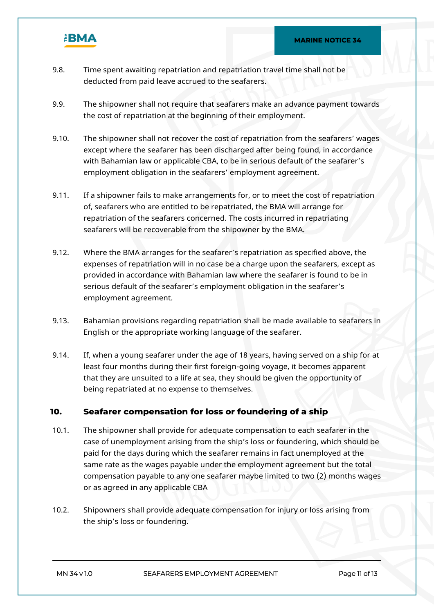

- 9.8. Time spent awaiting repatriation and repatriation travel time shall not be deducted from paid leave accrued to the seafarers.
- 9.9. The shipowner shall not require that seafarers make an advance payment towards the cost of repatriation at the beginning of their employment.
- 9.10. The shipowner shall not recover the cost of repatriation from the seafarers' wages except where the seafarer has been discharged after being found, in accordance with Bahamian law or applicable CBA, to be in serious default of the seafarer's employment obligation in the seafarers' employment agreement.
- 9.11. If a shipowner fails to make arrangements for, or to meet the cost of repatriation of, seafarers who are entitled to be repatriated, the BMA will arrange for repatriation of the seafarers concerned. The costs incurred in repatriating seafarers will be recoverable from the shipowner by the BMA.
- 9.12. Where the BMA arranges for the seafarer's repatriation as specified above, the expenses of repatriation will in no case be a charge upon the seafarers, except as provided in accordance with Bahamian law where the seafarer is found to be in serious default of the seafarer's employment obligation in the seafarer's employment agreement.
- 9.13. Bahamian provisions regarding repatriation shall be made available to seafarers in English or the appropriate working language of the seafarer.
- 9.14. If, when a young seafarer under the age of 18 years, having served on a ship for at least four months during their first foreign-going voyage, it becomes apparent that they are unsuited to a life at sea, they should be given the opportunity of being repatriated at no expense to themselves.

### **10. Seafarer compensation for loss or foundering of a ship**

- 10.1. The shipowner shall provide for adequate compensation to each seafarer in the case of unemployment arising from the ship's loss or foundering, which should be paid for the days during which the seafarer remains in fact unemployed at the same rate as the wages payable under the employment agreement but the total compensation payable to any one seafarer maybe limited to two (2) months wages or as agreed in any applicable CBA
- 10.2. Shipowners shall provide adequate compensation for injury or loss arising from the ship's loss or foundering.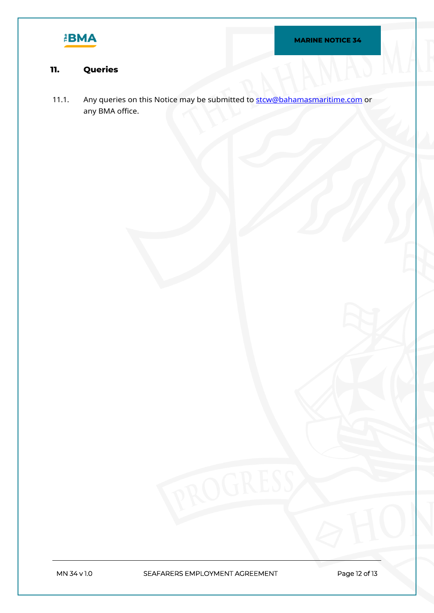

# **11. Queries**

11.1. Any queries on this Notice may be submitted to [stcw@bahamasmaritime.com](mailto:stcw@bahamasmaritime.com) or any BMA office.